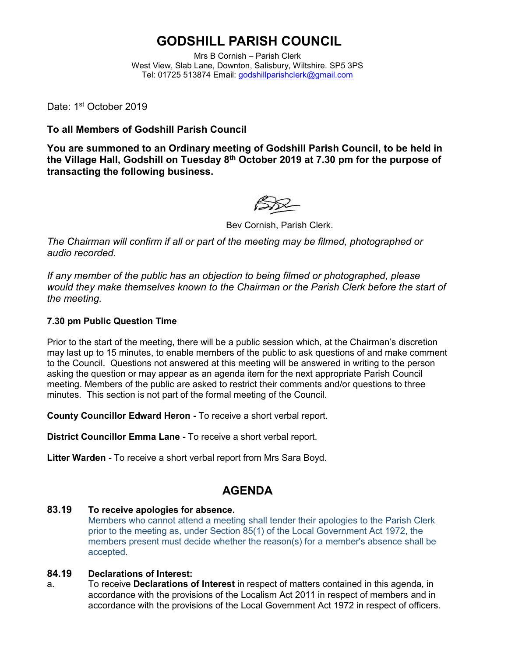# **GODSHILL PARISH COUNCIL**

Mrs B Cornish – Parish Clerk West View, Slab Lane, Downton, Salisbury, Wiltshire. SP5 3PS Tel: 01725 513874 Email: [godshillparishclerk@gmail.com](mailto:godshillparishclerk@gmail.com)

Date: 1st October 2019

**To all Members of Godshill Parish Council**

**You are summoned to an Ordinary meeting of Godshill Parish Council, to be held in the Village Hall, Godshill on Tuesday 8 th October 2019 at 7.30 pm for the purpose of transacting the following business.**

Bev Cornish, Parish Clerk.

*The Chairman will confirm if all or part of the meeting may be filmed, photographed or audio recorded.*

*If any member of the public has an objection to being filmed or photographed, please would they make themselves known to the Chairman or the Parish Clerk before the start of the meeting.*

#### **7.30 pm Public Question Time**

Prior to the start of the meeting, there will be a public session which, at the Chairman's discretion may last up to 15 minutes, to enable members of the public to ask questions of and make comment to the Council. Questions not answered at this meeting will be answered in writing to the person asking the question or may appear as an agenda item for the next appropriate Parish Council meeting. Members of the public are asked to restrict their comments and/or questions to three minutes. This section is not part of the formal meeting of the Council.

**County Councillor Edward Heron -** To receive a short verbal report.

**District Councillor Emma Lane -** To receive a short verbal report.

**Litter Warden -** To receive a short verbal report from Mrs Sara Boyd.

### **AGENDA**

#### **83.19 To receive apologies for absence.**

Members who cannot attend a meeting shall tender their apologies to the Parish Clerk prior to the meeting as, under Section 85(1) of the Local Government Act 1972, the members present must decide whether the reason(s) for a member's absence shall be accepted.

#### **84.19 Declarations of Interest:**

a. To receive **Declarations of Interest** in respect of matters contained in this agenda, in accordance with the provisions of the Localism Act 2011 in respect of members and in accordance with the provisions of the Local Government Act 1972 in respect of officers.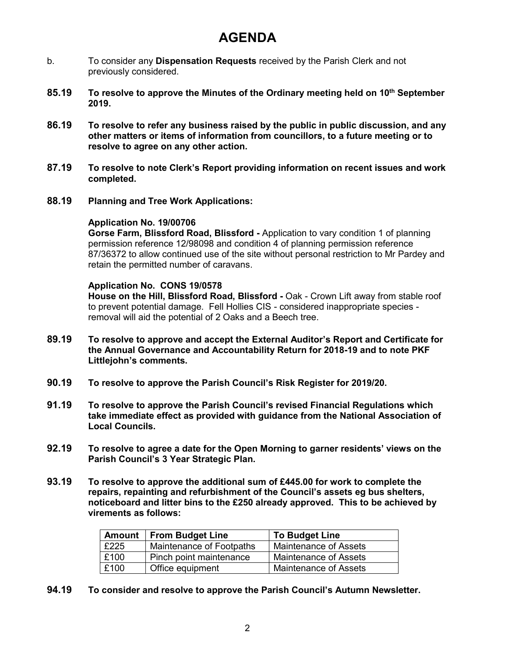## **AGENDA**

- b. To consider any **Dispensation Requests** received by the Parish Clerk and not previously considered.
- **85.19 To resolve to approve the Minutes of the Ordinary meeting held on 10th September 2019.**
- **86.19 To resolve to refer any business raised by the public in public discussion, and any other matters or items of information from councillors, to a future meeting or to resolve to agree on any other action.**
- **87.19 To resolve to note Clerk's Report providing information on recent issues and work completed.**
- **88.19 Planning and Tree Work Applications:**

#### **Application No. 19/00706**

**Gorse Farm, Blissford Road, Blissford -** Application to vary condition 1 of planning permission reference 12/98098 and condition 4 of planning permission reference 87/36372 to allow continued use of the site without personal restriction to Mr Pardey and retain the permitted number of caravans.

#### **Application No. CONS 19/0578**

**House on the Hill, Blissford Road, Blissford -** Oak - Crown Lift away from stable roof to prevent potential damage. Fell Hollies CIS - considered inappropriate species removal will aid the potential of 2 Oaks and a Beech tree.

- **89.19 To resolve to approve and accept the External Auditor's Report and Certificate for the Annual Governance and Accountability Return for 2018-19 and to note PKF Littlejohn's comments.**
- **90.19 To resolve to approve the Parish Council's Risk Register for 2019/20.**
- **91.19 To resolve to approve the Parish Council's revised Financial Regulations which take immediate effect as provided with guidance from the National Association of Local Councils.**
- **92.19 To resolve to agree a date for the Open Morning to garner residents' views on the Parish Council's 3 Year Strategic Plan.**
- **93.19 To resolve to approve the additional sum of £445.00 for work to complete the repairs, repainting and refurbishment of the Council's assets eg bus shelters, noticeboard and litter bins to the £250 already approved. This to be achieved by virements as follows:**

| <b>Amount</b> | <b>From Budget Line</b>  | <b>To Budget Line</b> |
|---------------|--------------------------|-----------------------|
| £225          | Maintenance of Footpaths | Maintenance of Assets |
| £100          | Pinch point maintenance  | Maintenance of Assets |
| £100          | Office equipment         | Maintenance of Assets |

**94.19 To consider and resolve to approve the Parish Council's Autumn Newsletter.**